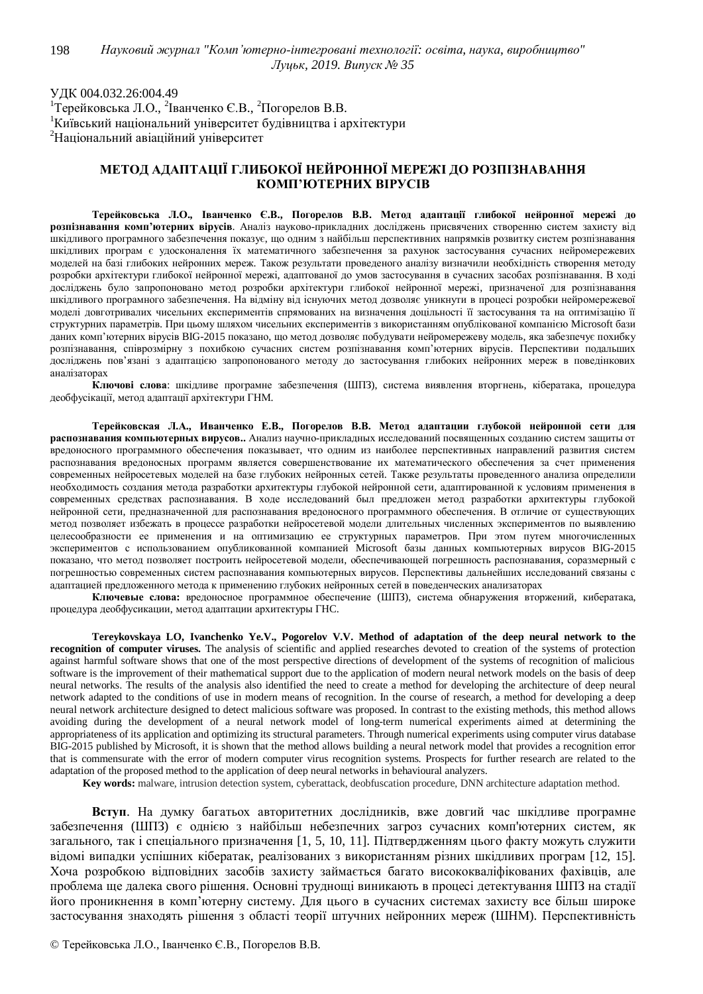УДК 004.032.26:004.49 <sup>1</sup>Терейковська Л.О., <sup>2</sup>Іванченко Є.В., <sup>2</sup>Погорелов В.В. <sup>1</sup>Київський національний університет будівництва і архітектури  $2$ Національний авіаційний університет

## МЕТОД АДАПТАЦІЇ ГЛИБОКОЇ НЕЙРОННОЇ МЕРЕЖІ ДО РОЗПІЗНАВАННЯ КОМП'ЮТЕРНИХ ВІРУСІВ

Терейковська Л.О., Іванченко Є.В., Погорелов В.В. Метод адаптації глибокої нейронної мережі до **розпізнавання комп'ютерних вірусів**. Аналіз науково-прикладних досліджень присвячених створенню систем захисту від шкідливого програмного забезпечення показує, що одним з найбільш перспективних напрямків розвитку систем розпізнавання шкідливих програм є удосконалення їх математичного забезпечення за рахунок застосування сучасних нейромережевих моделей на базі глибоких нейронних мереж. Також результати проведеного аналізу визначили необхідність створення методу розробки архітектури глибокої нейронної мережі, адаптованої до умов застосування в сучасних засобах розпізнавання. В ході досліджень було запропоновано метод розробки архітектури глибокої нейронної мережі, призначеної для розпізнавання шкідливого програмного забезпечення. На відміну від існуючих метод дозволяє уникнути в процесі розробки нейромережевої моделі довготривалих чисельних експериментів спрямованих на визначення доцільності її застосування та на оптимізацію її структурних параметрів. При цьому шляхом чисельних експериментів з використанням опублікованої компанією Microsoft бази даних комп'ютерних вірусів ВІG-2015 показано, що метод дозволяє побудувати нейромережеву модель, яка забезпечує похибку розпізнавання, співрозмірну з похибкою сучасних систем розпізнавання комп'ютерних вірусів. Перспективи подальших досліджень пов'язані з адаптацією запропонованого методу до застосування глибоких нейронних мереж в поведінкових аналізаторах

Ключові слова: шкідливе програмне забезпечення (ШПЗ), система виявлення вторгнень, кібератака, процедура деобфусікації, метод адаптації архітектури ГНМ.

Терейковская Л.А., Иванченко Е.В., Погорелов В.В. Метод адаптации глубокой нейронной сети для **распознавания компьютерных вирусов..** Анализ научно-прикладных исследований посвященных созданию систем защиты от вредоносного программного обеспечения показывает, что одним из наиболее перспективных направлений развития систем распознавания вредоносных программ является совершенствование их математического обеспечения за счет применения современных нейросетевых моделей на базе глубоких нейронных сетей. Также результаты проведенного анализа определили необходимость создания метода разработки архитектуры глубокой нейронной сети, адаптированной к условиям применения в современных средствах распознавания. В ходе исследований был предложен метод разработки архитектуры глубокой нейронной сети, предназначенной для распознавания вредоносного программного обеспечения. В отличие от существующих метод позволяет избежать в процессе разработки нейросетевой модели длительных численных экспериментов по выявлению целесообразности ее применения и на оптимизацию ее структурных параметров. При этом путем многочисленных экспериментов с использованием опубликованной компанией Microsoft базы данных компьютерных вирусов BIG-2015 показано, что метод позволяет построить нейросетевой модели, обеспечивающей погрешность распознавания, соразмерный с погрешностью современных систем распознавания компьютерных вирусов. Перспективы дальнейших исследований связаны с адаптацией предложенного метода к применению глубоких нейронных сетей в поведенческих анализаторах

Ключевые слова: вредоносное программное обеспечение (ШПЗ), система обнаружения вторжений, кибератака, процедура деобфусикации, метод адаптации архитектуры ГНС.

**Tereykovskaya LO, Ivanchenko Ye.V., Pogorelov V.V. Method of adaptation of the deep neural network to the recognition of computer viruses.** The analysis of scientific and applied researches devoted to creation of the systems of protection against harmful software shows that one of the most perspective directions of development of the systems of recognition of malicious software is the improvement of their mathematical support due to the application of modern neural network models on the basis of deep neural networks. The results of the analysis also identified the need to create a method for developing the architecture of deep neural network adapted to the conditions of use in modern means of recognition. In the course of research, a method for developing a deep neural network architecture designed to detect malicious software was proposed. In contrast to the existing methods, this method allows avoiding during the development of a neural network model of long-term numerical experiments aimed at determining the appropriateness of its application and optimizing its structural parameters. Through numerical experiments using computer virus database BIG-2015 published by Microsoft, it is shown that the method allows building a neural network model that provides a recognition error that is commensurate with the error of modern computer virus recognition systems. Prospects for further research are related to the adaptation of the proposed method to the application of deep neural networks in behavioural analyzers.

 **Key words:** malware, intrusion detection system, cyberattack, deobfuscation procedure, DNN architecture adaptation method.

Вступ. На думку багатьох авторитетних дослідників, вже довгий час шкідливе програмне забезпечення (ШПЗ) є однією з найбільш небезпечних загроз сучасних комп'ютерних систем, як загального, так і спеціального призначення [1, 5, 10, 11]. Підтвердженням цього факту можуть служити відомі випадки успішних кібератак, реалізованих з використанням різних шкідливих програм [12, 15]. Хоча розробкою відповідних засобів захисту займається багато висококваліфікованих фахівців, але проблема ще далека свого рішення. Основні труднощі виникають в процесі детектування ШПЗ на стадії його проникнення в комп'ютерну систему. Для цього в сучасних системах захисту все більш широке застосування знаходять рішення з області теорії штучних нейронних мереж (ШНМ). Перспективність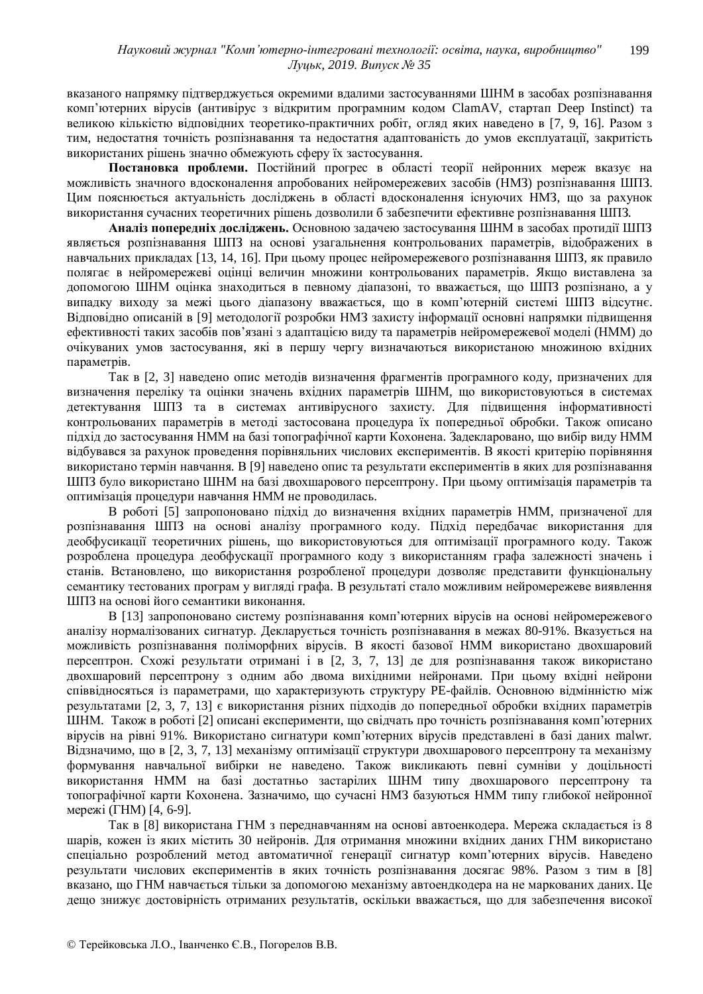вказаного напрямку підтверджується окремими вдалими застосуваннями ШНМ в засобах розпізнавання комп'ютерних вірусів (антивірус з відкритим програмним кодом ClamAV, стартап Deep Instinct) та великою кількістю відповідних теоретико-практичних робіт, огляд яких наведено в [7, 9, 16]. Разом з тим, недостатня точність розпізнавання та недостатня адаптованість до умов експлуатації, закритість використаних рішень значно обмежують сферу їх застосування.

Постановка проблеми. Постійний прогрес в області теорії нейронних мереж вказує на можливість значного вдосконалення апробованих нейромережевих засобів (НМЗ) розпізнавання ШПЗ. Цим пояснюється актуальність досліджень в області вдосконалення існуючих НМЗ, що за рахунок використання сучасних теоретичних рішень дозволили б забезпечити ефективне розпізнавання ШПЗ.

Аналіз попередніх досліджень. Основною задачею застосування ШНМ в засобах протидії ШПЗ являється розпізнавання ШПЗ на основі узагальнення контрольованих параметрів, відображених в навчальних прикладах [13, 14, 16]. При цьому процес нейромережевого розпізнавання ШПЗ, як правило полягає в нейромережеві оцінці величин множини контрольованих параметрів. Якщо виставлена за допомогою ШНМ оцінка знаходиться в певному діапазоні, то вважається, що ШПЗ розпізнано, а у випадку виходу за межі цього діапазону вважається, що в комп'ютерній системі ШПЗ відсутнє. Вілповілно описаній в [9] метолології розробки НМЗ захисту інформації основні напрямки пілвищення eфективності таких засобів пов'язані з алаптацією вилу та параметрів нейромережевої молелі (HMM) ло очікуваних умов застосування, які в першу чергу визначаються використаною множиною вхідних параметрів.

Так в [2, 3] наведено опис методів визначення фрагментів програмного коду, призначених для визначення переліку та оцінки значень вхідних параметрів ШНМ, що використовуються в системах детектування ШПЗ та в системах антивірусного захисту. Для підвищення інформативності контрольованих параметрів в методі застосована процедура їх попередньої обробки. Також описано пілхіл ло застосування НММ на базі топографічної карти Кохонена. Залекларовано, що вибір вилу НММ відбувався за рахунок проведення порівняльних числових експериментів. В якості критерію порівняння використано термін навчання. В [9] наведено опис та результати експериментів в яких для розпізнавання ШПЗ було використано ШНМ на базі двохшарового персептрону. При цьому оптимізація параметрів та оптимізація процедури навчання НММ не проводилась.

В роботі [5] запропоновано підхід до визначення вхідних параметрів НММ, призначеної для розпізнавання ШПЗ на основі аналізу програмного колу. Пілхіл перелбачає використання для деобфусикації теоретичних рішень, що використовуються для оптимізації програмного коду. Також розроблена процедура деобфускації програмного коду з використанням графа залежності значень і станів. Встановлено, що використання розробленої процедури дозволяє представити функціональну семантику тестованих програм у вигляді графа. В результаті стало можливим нейромережеве виявлення ШПЗ на основі його семантики виконання.

В [13] запропоновано систему розпізнавання комп'ютерних вірусів на основі нейромережевого аналізу нормалізованих сигнатур. Декларується точність розпізнавання в межах 80-91%. Вказується на можливість розпізнавання поліморфних вірусів. В якості базової НММ використано двохшаровий персептрон. Схожі результати отримані і в [2, 3, 7, 13] де для розпізнавання також використано двохшаровий персептрону з одним або двома вихідними нейронами. При цьому вхідні нейрони співвідносяться із параметрами, що характеризують структуру РЕ-файлів. Основною відмінністю між результатами [2, 3, 7, 13] є використання різних підходів до попередньої обробки вхідних параметрів ШНМ. Також в роботі [2] описані експерименти, що свідчать про точність розпізнавання комп'ютерних вірусів на рівні 91%. Використано сигнатури комп'ютерних вірусів представлені в базі даних malwr. Відзначимо, що в [2, 3, 7, 13] механізму оптимізації структури двохшарового персептрону та механізму формування навчальної вибірки не наведено. Також викликають певні сумніви у доцільності використання НММ на базі достатньо застарілих ШНМ типу двохшарового персептрону та топографічної карти Кохонена. Зазначимо, що сучасні НМЗ базуються НММ типу глибокої нейронної мережі (ГНМ) [4, 6-9].

Так в [8] використана ГНМ з переднавчанням на основі автоенкодера. Мережа складається із 8 шарів, кожен із яких містить 30 нейронів. Для отримання множини вхідних даних ГНМ використано спеціально розроблений метод автоматичної генерації сигнатур комп'ютерних вірусів. Наведено результати числових експериментів в яких точність розпізнавання досягає 98%. Разом з тим в [8] вказано, що ГНМ навчається тільки за допомогою механізму автоендкодера на не маркованих даних. Це дещо знижує достовірність отриманих результатів, оскільки вважається, що для забезпечення високої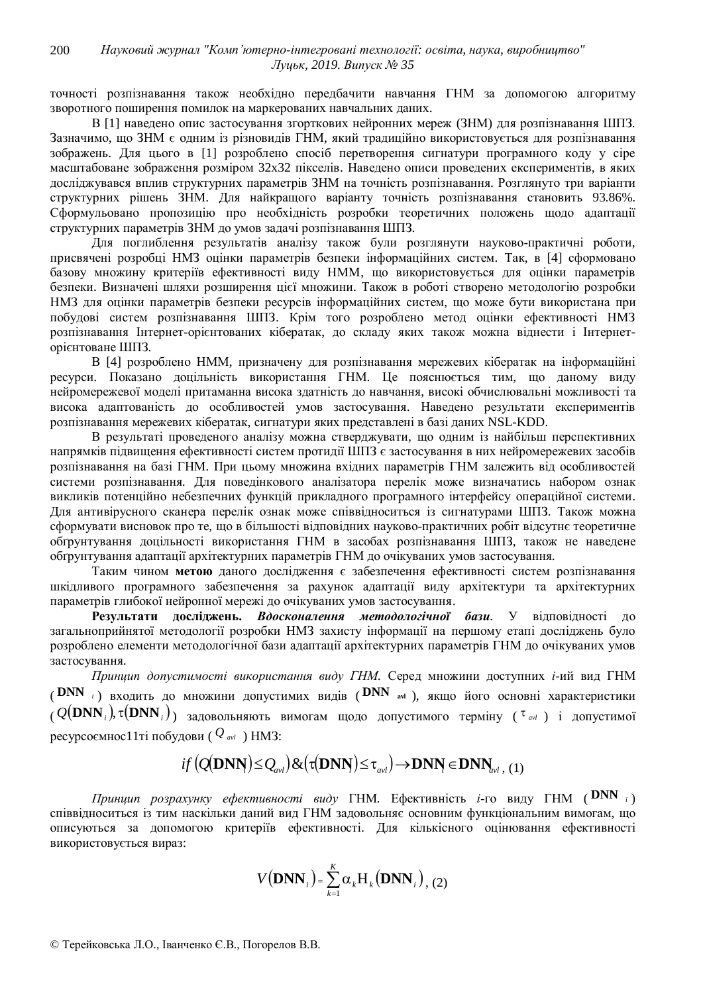точності розпізнавання також необхідно передбачити навчання ГНМ за допомогою алгоритму зворотного поширення помилок на маркерованих навчальних даних.

В [1] наведено опис застосування згорткових нейронних мереж (ЗНМ) для розпізнавання ШПЗ. Зазначимо, що ЗНМ є одним із різновидів ГНМ, який традиційно використовується для розпізнавання зображень. Для цього в [1] розроблено спосіб перетворення сигнатури програмного коду у сіре масштабоване зображення розміром 32х32 пікселів. Наведено описи проведених експериментів, в яких досліджувався вплив структурних параметрів ЗНМ на точність розпізнавання. Розглянуто три варіанти структурних рішень ЗНМ. Для найкращого варіанту точність розпізнавання становить 93.86%. Сформульовано пропозицію про необхідність розробки теоретичних положень щодо адаптації структурних параметрів ЗНМ до умов задачі розпізнавання ШПЗ.

Для поглиблення результатів аналізу також були розглянути науково-практичні роботи, присвячені розробці НМЗ оцінки параметрів безпеки інформаційних систем. Так, в [4] сформовано базову множину критеріїв ефективності виду НММ, що використовується для оцінки параметрів безпеки. Визначені шляхи розширення цієї множини. Також в роботі створено методологію розробки НМЗ для оцінки параметрів безпеки ресурсів інформаційних систем, що може бути використана при побудові систем розпізнавання ШПЗ. Крім того розроблено метод оцінки ефективності НМЗ **розпізнавання Інтернет-орієнтованих кібератак**, до складу яких також можна віднести і Інтернеторієнтоване ШПЗ.

В [4] розроблено НММ, призначену для розпізнавання мережевих кібератак на інформаційні ресурси. Показано доцільність використання ГНМ. Це пояснюється тим, що даному виду нейромережевої моделі притаманна висока здатність до навчання, високі обчислювальні можливості та висока адаптованість до особливостей умов застосування. Наведено результати експериментів розпізнавання мережевих кібератак, сигнатури яких представлені в базі даних NSL-KDD.

В результаті провеленого аналізу можна стверджувати, що одним із найбільш перспективних напрямків підвищення ефективності систем протидії ШПЗ є застосування в них нейромережевих засобів розпізнавання на базі ГНМ. При цьому множина вхідних параметрів ГНМ залежить від особливостей системи розпізнавання. Для поведінкового аналізатора перелік може визначатись набором ознак викликів потенційно небезпечних функцій прикладного програмного інтерфейсу операційної системи. Для антивірусного сканера перелік ознак може співвідноситься із сигнатурами ШПЗ. Також можна сформувати висновок про те, що в більшості вілповілних науково-практичних робіт вілсутнє теоретичне обгрунтування доцільності використання ГНМ в засобах розпізнавання ШПЗ, також не наведене обгрунтування адаптації архітектурних параметрів ГНМ до очікуваних умов застосування.

Таким чином метою даного дослідження є забезпечення ефективності систем розпізнавання шкідливого програмного забезпечення за рахунок адаптації виду архітектури та архітектурних параметрів глибокої нейронної мережі до очікуваних умов застосування.

Результати досліджень. Вдосконалення методологічної бази. У відповідності до загальноприйнятої методології розробки НМЗ захисту інформації на першому етапі досліджень було розроблено елементи методологічної бази адаптації архітектурних параметрів ГНМ до очікуваних умов застосування.

Принцип допустимості використання виду ГНМ. Серед множини доступних *і*-ий вид ГНМ ( **DNN** *i*) входить до множини допустимих видів ( DNN avl ), якщо його основні характеристики  $(Q(\textbf{DNN}_i), \tau(\textbf{DNN}_i))$  задовольняють вимогам щодо допустимого терміну ( $\tau$ <sub>avl</sub>) і допустимої <u>ресурсоємнос11</u>ті побудови ( $Q_{\text{avl}}$ ) НМЗ:

$$
if (Q(DNN) \leq Q_{\text{avl}}) \& (\tau(DNN) \leq \tau_{\text{avl}}) \rightarrow DNN \in DNN_{\text{avl}} , (1)
$$

 $\Pi$ *риниип розрахунку ефективності виду* ГНМ. Ефективність *i*-го виду ГНМ (  $\text{DNN}_i$ ) співвідноситься із тим наскільки даний вид ГНМ задовольняє основним функціональним вимогам, що описуються за допомогою критеріїв ефективності. Для кількісного оцінювання ефективності використовується вираз:

$$
V(DNN_i) = \sum_{k=1}^{K} \alpha_k H_k(DNN_i), (2)
$$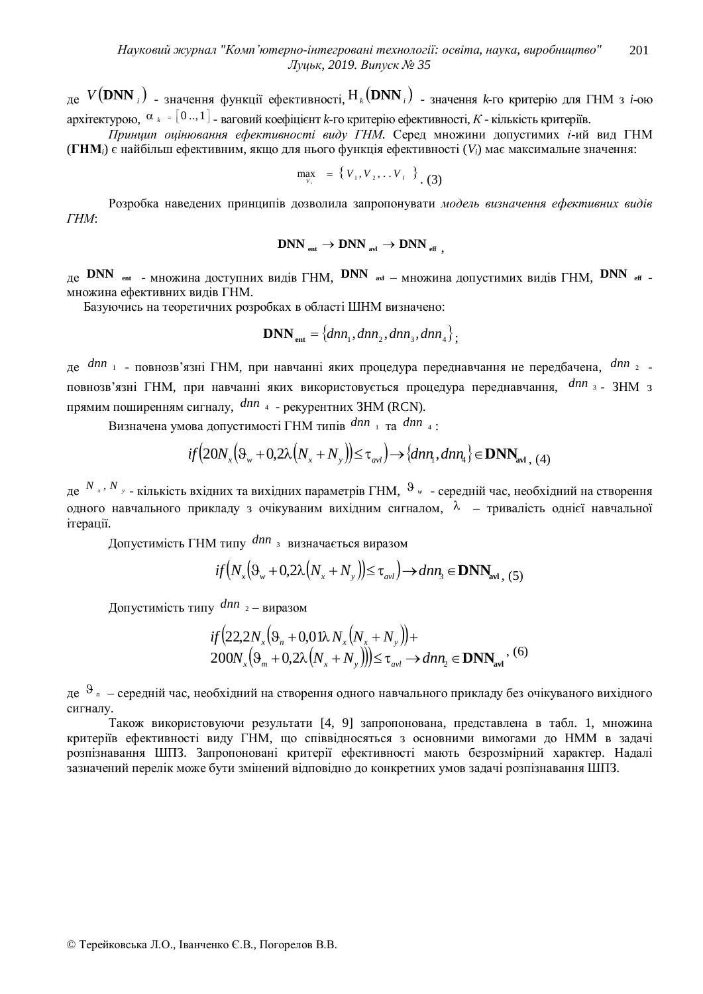де  $V(\textbf{DNN}_i)$  <sub>- ЗНА</sub>чення функції ефективності,  $H_k(\textbf{DNN}_i)$  <sub>- ЗНА</sub>чення  $k$ -го критерію для ГНМ з *і*-ою архітектурою, α<sub>к</sub> = [0 ..,1] <sub>- ваговий коефіцієнт k-го критерію ефективності, K - кількість критеріїв.</sub>

Принцип оцінювання ефективності виду ГНМ. Серед множини допустимих *і*-ий вид ГНМ (ГНМ<sub>*i*</sub>) є найбільш ефективним, якщо для нього функція ефективності (V<sub>*i*</sub>) має максимальне значення:

$$
\max_{V_i} = \{V_1, V_2, \ldots V_{I}\}
$$
 (3)

Розробка наведених принципів дозволила запропонувати модель визначення ефективних видів  $THM$ 

$$
\text{DNN}_{\text{ ent}} \rightarrow \text{DNN}_{\text{ art}} \rightarrow \text{DNN}_{\text{ eff}} ,
$$

 $_{\text{A}}$  DNN  $_{\text{ent}}$  – множина доступних видів ГНМ, DNN  $_{\text{av}}$  – множина допустимих видів ГНМ, DNN  $_{\text{eff}}$  – множина ефективних вилів ГНМ.

Базуючись на теоретичних розробках в області ШНМ визначено:

$$
\mathbf{DNN}_{\text{ent}} = \{dnn_1, dnn_2, dnn_3, dnn_4\};
$$

де *dnn* <sub>1</sub> - повнозв'язні ГНМ, при навчанні яких процедура переднавчання не передбачена, dnn<sub>2</sub> повнозв'язні ГНМ, при навчанні яких використовується процедура переднавчання, <sup>dnn</sup> 3 - ЗНМ з прямим поширенням сигналу,  $dm_{4}$  - рекурентних ЗНМ (RCN).

Визначена умова допустимості ГНМ типів  $dnn_1$  та  $dnn_4$ :

$$
if(20N_x(\Theta_w + 0.2\lambda (N_x + N_y)) \le \tau_{avl}) \rightarrow \{dnn_1, dnn_4\} \in \mathbf{DNN}_{\text{avl},(4)}
$$

де <sup>N</sup> *x* · <sup>N</sup> *y* - кількість вхідних та вихідних параметрів ГНМ, <sup>9</sup> *w* - середній час, необхідний на створення одного навчального прикладу з очікуваним вихідним сигналом,  $\lambda$  – тривалість однієї навчальної ітерації.

Допустимість ГНМ типу dnn<sub>3</sub> визначається виразом

$$
if(N_x(\Theta_{w}+0,2\lambda(N_x+N_y))\leq \tau_{\text{avl}})\to dnn_3\in \mathbf{DNN}_{\text{avl},(5)}
$$

Допустимість типу  $dnn_{2}$  – виразом

$$
if(22,2N_x(\Theta_n+0,01\lambda N_x(N_x+N_y)) +
$$
  
200N\_x(\Theta\_m+0,2\lambda (N\_x+N\_y)))  $\tau_{avl} \rightarrow dnn_2 \in \mathbf{DNN}_{avl}^{(6)}$ 

де <sup>9</sup> <sup>"</sup> – середній час, необхідний на створення одного навчального прикладу без очікуваного вихідного сигналу.

Також використовуючи результати [4, 9] запропонована, представлена в табл. 1, множина критеріїв ефективності виду ГНМ, що співвідносяться з основними вимогами до НММ в задачі розпізнавання ШПЗ. Запропоновані критерії ефективності мають безрозмірний характер. Надалі зазначений перелік може бути змінений відповідно до конкретних умов задачі розпізнавання ШПЗ.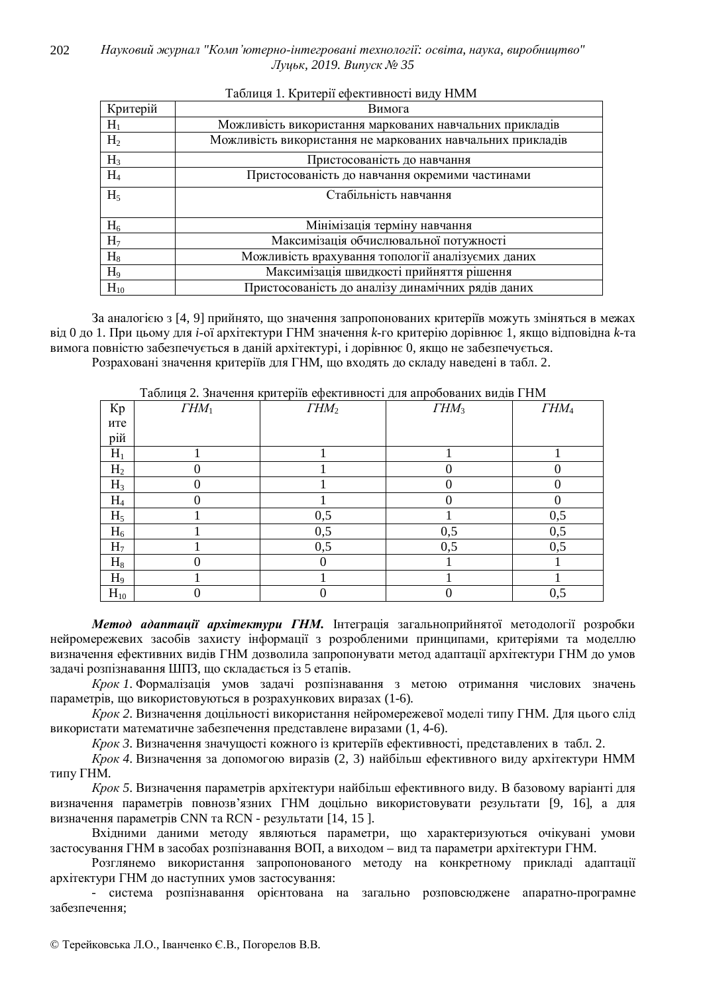| Критерій       | Вимога                                                     |  |  |  |  |
|----------------|------------------------------------------------------------|--|--|--|--|
| $H_1$          | Можливість використання маркованих навчальних прикладів    |  |  |  |  |
| H <sub>2</sub> | Можливість використання не маркованих навчальних прикладів |  |  |  |  |
| $H_3$          | Пристосованість до навчання                                |  |  |  |  |
| H <sub>4</sub> | Пристосованість до навчання окремими частинами             |  |  |  |  |
| $H_5$          | Стабільність навчання                                      |  |  |  |  |
| $H_6$          | Мінімізація терміну навчання                               |  |  |  |  |
| H <sub>7</sub> | Максимізація обчислювальної потужності                     |  |  |  |  |
| $H_8$          | Можливість врахування топології аналізуємих даних          |  |  |  |  |
| H <sub>9</sub> | Максимізація швидкості прийняття рішення                   |  |  |  |  |
| $H_{10}$       | Пристосованість до аналізу динамічних рядів даних          |  |  |  |  |

## Таблиця 1. Критерії ефективності виду НММ

За аналогією з [4, 9] прийнято, що значення запропонованих критеріїв можуть зміняться в межах від 0 до 1. При цьому для *і*-ої архітектури ГНМ значення k-го критерію дорівнює 1, якщо відповідна k-та вимога повністю забезпечується в даній архітектурі, і дорівнює 0, якщо не забезпечується.

Розраховані значення критеріїв для ГНМ, що входять до складу наведені в табл. 2.

|                | таолиця 2. значення критеріїв ефективності для апрооованих видів і гімі |                  |          |                  |  |  |  |  |
|----------------|-------------------------------------------------------------------------|------------------|----------|------------------|--|--|--|--|
| Kp             | $THM_1$                                                                 | THM <sub>2</sub> | $THM_3$  | THM <sub>4</sub> |  |  |  |  |
| ите            |                                                                         |                  |          |                  |  |  |  |  |
| рій            |                                                                         |                  |          |                  |  |  |  |  |
| $H_1$          |                                                                         |                  |          |                  |  |  |  |  |
| H <sub>2</sub> |                                                                         |                  | 0        |                  |  |  |  |  |
| $H_3$          |                                                                         |                  |          |                  |  |  |  |  |
| H <sub>4</sub> |                                                                         |                  | $\Omega$ |                  |  |  |  |  |
| $H_5$          |                                                                         | 0,5              |          | 0,5              |  |  |  |  |
| $H_6$          |                                                                         | 0,5              | 0,5      | 0,5              |  |  |  |  |
| H <sub>7</sub> |                                                                         | 0,5              | 0,5      | 0,5              |  |  |  |  |
| $H_8$          |                                                                         |                  |          |                  |  |  |  |  |
| $H_9$          |                                                                         |                  |          |                  |  |  |  |  |
| $H_{10}$       |                                                                         |                  | 0        | 0,5              |  |  |  |  |

T<u>ράπιμα 2. Ομομομία κομπορί</u>ἢρ οφοκτινοντίας τα οπροδορομια ⇒ω≓ ΓΗΜ

Метод адаптації архітектури ГНМ. Інтеграція загальноприйнятої методології розробки нейромережевих засобів захисту інформації з розробленими принципами, критеріями та моделлю визначення ефективних видів ГНМ дозволила запропонувати метод адаптації архітектури ГНМ до умов залачі розпізнавання ШПЗ, що склалається із 5 етапів.

Крок 1. Формалізація умов задачі розпізнавання з метою отримання числових значень параметрів, що використовуються в розрахункових виразах (1-6).

Крок 2. Визначення доцільності використання нейромережевої моделі типу ГНМ. Для цього слід використати математичне забезпечення представлене виразами (1, 4-6).

*Крок 3*. Визначення значущості кожного із критеріїв ефективності, представлених в табл. 2.

*Крок* 4. Визначення за допомогою виразів (2, 3) найбільш ефективного виду архітектури НММ типу ГНМ.

*Крок* 5. Визначення параметрів архітектури найбільш ефективного вилу. В базовому варіанті лля визначення параметрів повнозв'язних ГНМ доцільно використовувати результати [9, 16], а для визначення параметрів CNN та RCN - результати [14, 15].

Вхідними даними методу являються параметри, що характеризуються очікувані умови застосування ГНМ в засобах розпізнавання ВОП, а виходом – вид та параметри архітектури ГНМ.

Розглянемо використання запропонованого методу на конкретному прикладі адаптації архітектури ГНМ до наступних умов застосування:

- система розпізнавання орієнтована на загально розповсюджене апаратно-програмне забезпечення;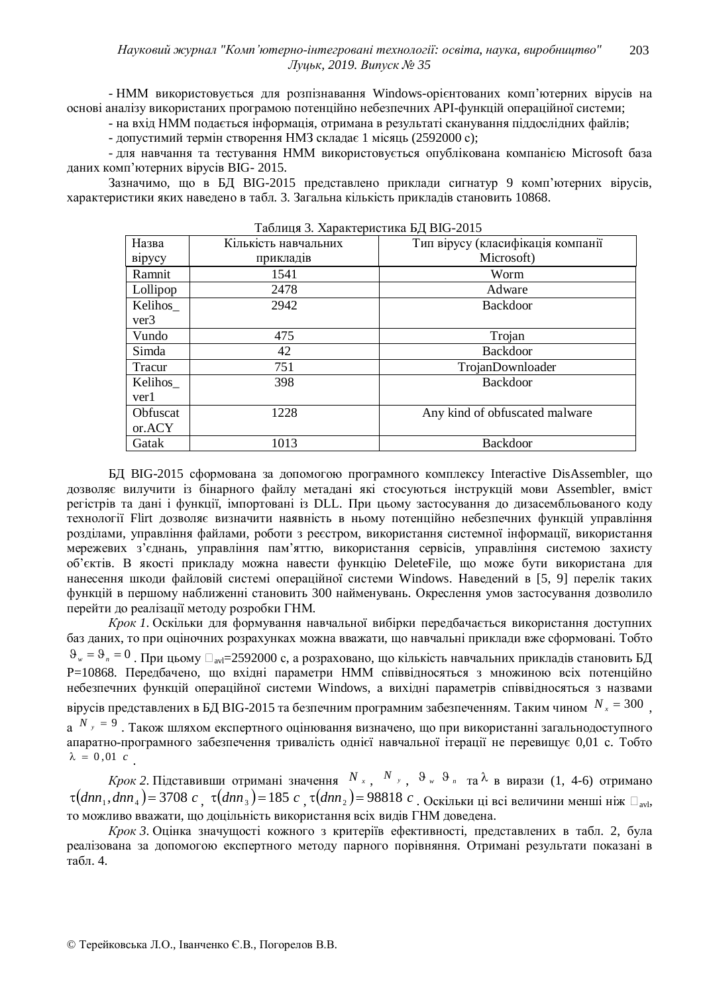- НММ використовується для розпізнавання Windows-орієнтованих комп'ютерних вірусів на основі аналізу використаних програмою потенційно небезпечних АРІ-функцій операційної системи;

- на вхід НММ подається інформація, отримана в результаті сканування піддослідних файлів;

- допустимий термін створення НМЗ складає 1 місяць (2592000 с);

- для навчання та тестування НММ використовується опублікована компанією Microsoft база даних комп'ютерних вірусів ВІG- 2015.

Зазначимо, що в БД BIG-2015 представлено приклади сигнатур 9 комп'ютерних вірусів, характеристики яких наведено в табл. 3. Загальна кількість прикладів становить 10868.

| Назва               | Тип вірусу (класифікація компанії<br>Кількість навчальних |                                |  |  |  |
|---------------------|-----------------------------------------------------------|--------------------------------|--|--|--|
| вірусу<br>прикладів |                                                           | Microsoft)                     |  |  |  |
| Ramnit              | 1541                                                      | Worm                           |  |  |  |
| Lollipop            | 2478                                                      | Adware                         |  |  |  |
| Kelihos_            | 2942                                                      | <b>Backdoor</b>                |  |  |  |
| ver3                |                                                           |                                |  |  |  |
| Vundo               | 475                                                       | Trojan                         |  |  |  |
| Simda               | 42                                                        | <b>Backdoor</b>                |  |  |  |
| Tracur              | 751                                                       | TrojanDownloader               |  |  |  |
| Kelihos             | 398                                                       | <b>Backdoor</b>                |  |  |  |
| ver1                |                                                           |                                |  |  |  |
| Obfuscat            | 1228                                                      | Any kind of obfuscated malware |  |  |  |
| or.ACY              |                                                           |                                |  |  |  |
| Gatak               | 1013                                                      | <b>Backdoor</b>                |  |  |  |

Taблица 3. Характеристика БЛ BIG-2015

БД BIG-2015 сформована за допомогою програмного комплексу Interactive DisAssembler, що дозволяє вилучити із бінарного файлу метадані які стосуються інструкцій мови Assembler, вміст регістрів та дані і функції, імпортовані із DLL. При цьому застосування до дизасембльованого коду технології Flirt дозволяє визначити наявність в ньому потенційно небезпечних функцій управління розділами, управління файлами, роботи з реєстром, використання системної інформації, використання мережевих з'єднань, управління пам'яттю, використання сервісів, управління системою захисту об'єктів. В якості прикладу можна навести функцію DeleteFile, що може бути використана для нанесення шкоди файловій системі операційної системи Windows. Наведений в [5, 9] перелік таких функцій в першому наближенні становить 300 найменувань. Окреслення умов застосування дозволило перейти до реалізації методу розробки ГНМ.

Крок 1. Оскільки для формування навчальної вибірки передбачається використання доступних баз даних, то при оціночних розрахунках можна вважати, що навчальні приклади вже сформовані. Тобто  $\vartheta_w = \vartheta_n = 0$ . При цьому □<sub>avl</sub>=2592000 с, а розраховано, що кількість навчальних прикладів становить БД Р=10868. Передбачено, що вхідні параметри НММ співвідносяться з множиною всіх потенційно небезпечних функцій операційної системи Windows, а вихідні параметрів співвідносяться з назвами вірусів представлених в БД ВІG-2015 та безпечним програмним забезпеченням. Таким чином  $N_x = 300$ , а  $N_y = 9$ . Також шляхом експертного оцінювання визначено, що при використанні загальнодоступного апаратно-програмного забезпечення тривалість однієї навчальної ітерації не перевищує 0,01 с. Тобто  $\lambda = 0,01 \, c$ .

*Крок* 2. Підставивши отримані значення  $N_x$ ,  $N_y$ ,  $\vartheta_w$   $\vartheta_n$  та λ в вирази (1, 4-6) отримано  $\tau(dnn_1, dnn_4)$ = 3708 *c*,  $\tau(dnn_3)$ = 185 *c*,  $\tau(dnn_2)$ = 98818 *c*, Оскільки ці всі величини менші ніж  $\Box_{\text{avl}}$ , то можливо вважати, що доцільність використання всіх видів ГНМ доведена.

*Крок 3*. Оцінка значущості кожного з критеріїв ефективності, представлених в табл. 2, була реалізована за допомогою експертного методу парного порівняння. Отримані результати показані в  $\tau a$ бл. 4.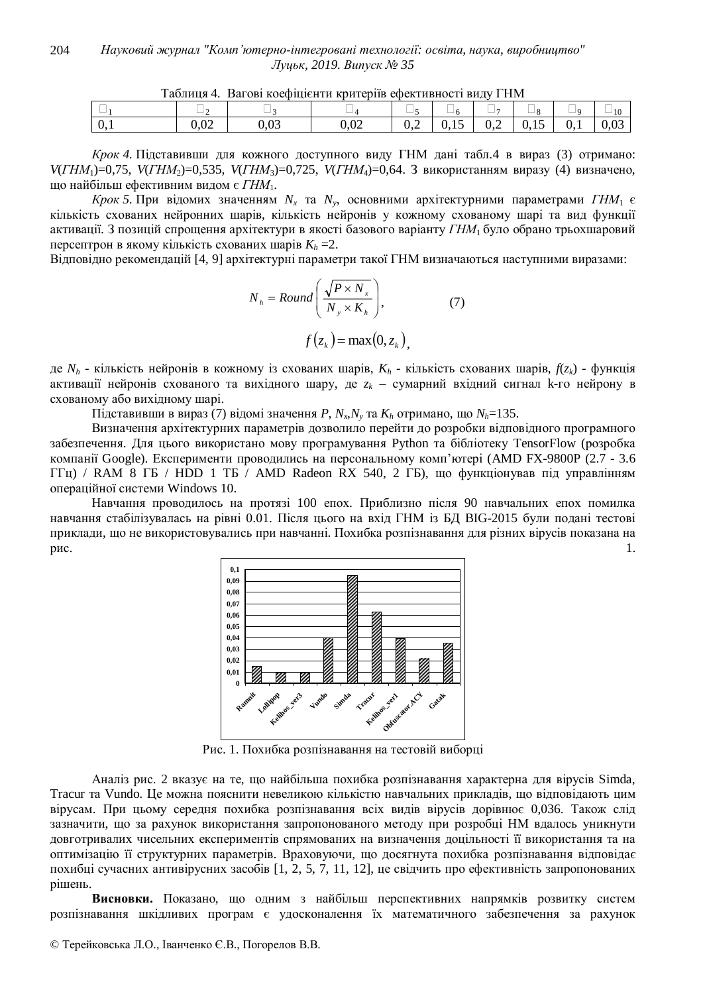| Таблиця 4. Вагові коефіцієнти критеріїв ефективності виду ГНМ |      |             |      |     |  |     |        |  |  |
|---------------------------------------------------------------|------|-------------|------|-----|--|-----|--------|--|--|
|                                                               |      | _           |      |     |  |     |        |  |  |
| v.i                                                           | U.UZ | ገ ሰኅ<br>∪∙∿ | 0.02 | ◡-∠ |  | U.Z | v. 1 J |  |  |

*Крок* 4. Підставивши для кожного доступного виду ГНМ дані табл.4 в вираз (3) отримано: *V*(*ГНМ*<sub>1</sub>)=0,75, *V*(*ГНМ*<sub>2</sub>)=0,535, *V*(*ГНМ*<sub>3</sub>)=0,725, *V*(*ГНМ*<sub>4</sub>)=0,64. З використанням виразу (4) визначено,

що найбільш ефективним видом є ГНМ<sub>1</sub>.

 $Kp$ *ок* 5. При відомих значенням  $N_x$  та  $N_y$ , основними архітектурними параметрами ГНМ<sub>1</sub> є кількість схованих нейронних шарів, кількість нейронів у кожному схованому шарі та вид функції активації. З позицій спрощення архітектури в якості базового варіанту ГНМ<sub>1</sub> було обрано трьохшаровий персептрон в якому кількість схованих шарів  $K_h = 2$ .

Відповідно рекомендацій [4, 9] архітектурні параметри такої ГНМ визначаються наступними виразами:

$$
N_{h} = Round\left(\frac{\sqrt{P \times N_{x}}}{N_{y} \times K_{h}}\right), \qquad (7)
$$

$$
f(z_{k}) = \max(0, z_{k}),
$$

де  $N_h$  - кількість нейронів в кожному із схованих шарів,  $K_h$  - кількість схованих шарів,  $f(z_k)$  - функція активації нейронів схованого та вихідного шару, де  $z_k$  – сумарний вхідний сигнал k-го нейрону в схованому або вихідному шарі.

 $\prod$ дставивши в вираз (7) відомі значення *P*,  $N_x, N_y$  та  $K_h$  отримано, що  $N_h$ =135.

Визначення архітектурних параметрів дозволило перейти до розробки відповідного програмного забезпечення. Для цього використано мову програмування Python та бібліотеку TensorFlow (розробка компанії Google). Експерименти проводились на персональному комп'ютері (AMD FX-9800P (2.7 - 3.6  $\Gamma$  $\Gamma$ ц) / RAM 8  $\Gamma$ Б / HDD 1  $\Gamma$ Б / AMD Radeon RX 540, 2  $\Gamma$ Б), що функціонував під управлінням операційної системи Windows 10.

Навчання проводилось на протязі 100 епох. Приблизно після 90 навчальних епох помилка навчання стабілізувалась на рівні 0.01. Після цього на вхід ГНМ із БД ВІG-2015 були подані тестові приклади, що не використовувались при навчанні. Похибка розпізнавання для різних вірусів показана на  $\mu$ . 1.



Рис. 1. Похибка розпізнавання на тестовій виборці

Аналіз рис. 2 вказує на те, що найбільша похибка розпізнавання характерна для вірусів Simda, Tracur та Vundo. Це можна пояснити невеликою кількістю навчальних прикладів, що відповідають цим вірусам. При цьому середня похибка розпізнавання всіх видів вірусів дорівнює 0,036. Також слід зазначити, що за рахунок використання запропонованого методу при розробці НМ вдалось уникнути довготривалих чисельних експериментів спрямованих на визначення доцільності її використання та на оптимізацію її структурних параметрів. Враховуючи, що досягнута похибка розпізнавання відповідає похибці сучасних антивірусних засобів [1, 2, 5, 7, 11, 12], це свідчить про ефективність запропонованих рішень.

Висновки. Показано, що одним з найбільш перспективних напрямків розвитку систем розпізнавання шкідливих програм є удосконалення їх математичного забезпечення за рахунок